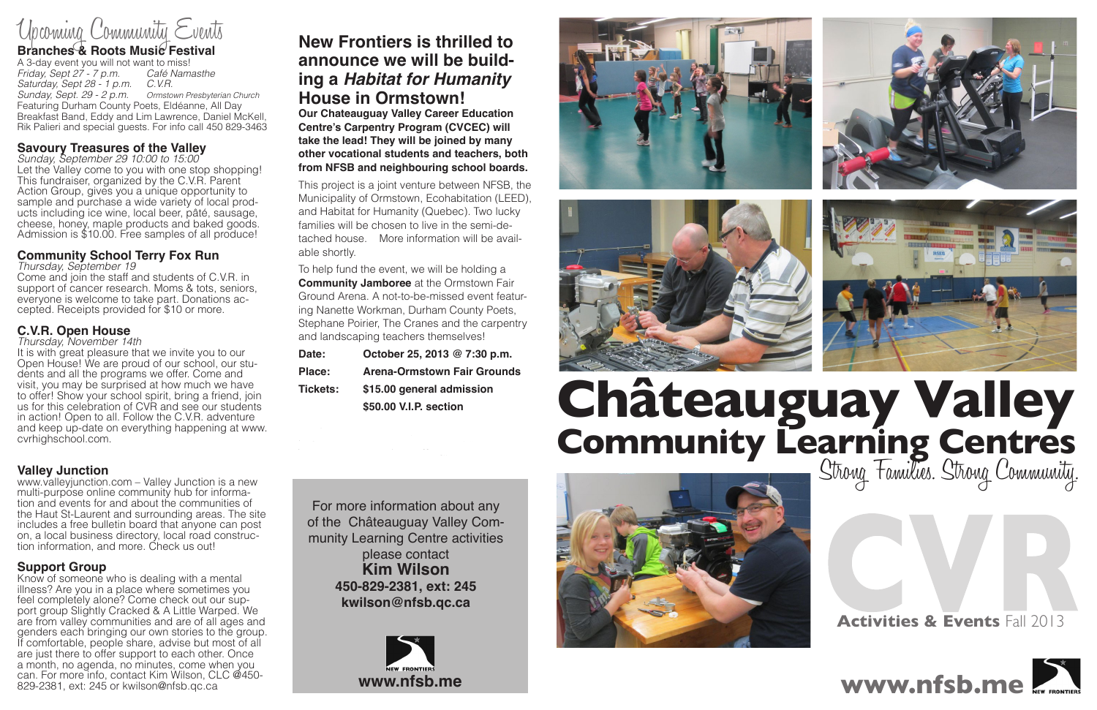#### **Branches & Roots Music Festival**

A 3-day event you will not want to miss!<br>Friday, Sept 27 - 7 p.m. Café Namasthe *Friday, Sept 27 - 7 p.m. Café Namasthe Saturday, Sept 28 - 1 p.m. C.V.R. Sunday, Sept. 29 - 2 p.m. Ormstown Presbyterian Church* Featuring Durham County Poets, Eldéanne, All Day Breakfast Band, Eddy and Lim Lawrence, Daniel McKell, Rik Palieri and special guests. For info call 450 829-3463

#### **Savoury Treasures of the Valley**

*Sunday, September 29 10:00 to 15:00* Let the Valley come to you with one stop shopping! This fundraiser, organized by the C.V.R. Parent Action Group, gives you a unique opportunity to<br>sample and purchase a wide variety of local products including ice wine, local beer, pâté, sausage, cheese, honey, maple products and baked goods. Admission is \$10.00. Free samples of all produce!

It is with great pleasure that we invite you to our Open House! We are proud of our school, our students and all the programs we offer. Come and visit, you may be surprised at how much we have to offer! Show your school spirit, bring a friend, join us for this celebration of CVR and see our students in action! Open to all. Follow the C.V.R. adventure and keep up-date on everything happening at www. cvrhighschool.com.

#### **Community School Terry Fox Run**

*Thursday, September 19*

Come and join the staff and students of C.V.R. in support of cancer research. Moms & tots, seniors, everyone is welcome to take part. Donations accepted. Receipts provided for \$10 or more.

#### **C.V.R. Open House**

*Thursday, November 14th*

#### **Valley Junction**

www.valleyjunction.com – Valley Junction is a new multi-purpose online community hub for information and events for and about the communities of the Haut St-Laurent and surrounding areas. The site includes a free bulletin board that anyone can post on, a local business directory, local road construction information, and more. Check us out!

#### **Support Group**

Know of someone who is dealing with a mental illness? Are you in a place where sometimes you feel completely alone? Come check out our support group Slightly Cracked & A Little Warped. We are from valley communities and are of all ages and genders each bringing our own stories to the group. If comfortable, people share, advise but most of all are just there to offer support to each other. Once a month, no agenda, no minutes, come when you can. For more info, contact Kim Wilson, CLC @450- 829-2381, ext: 245 or kwilson@nfsb.qc.ca



#### **Activities & Events** Fall 2013

### Upcoming Community Events





### **New Frontiers is thrilled to announce we will be building a** *Habitat for Humanity* **House in Ormstown!**

**Our Chateauguay Valley Career Education Centre's Carpentry Program (CVCEC) will take the lead! They will be joined by many other vocational students and teachers, both from NFSB and neighbouring school boards.** 

This project is a joint venture between NFSB, the Municipality of Ormstown, Ecohabitation (LEED), and Habitat for Humanity (Quebec). Two lucky families will be chosen to live in the semi-detached house. More information will be available shortly.

To help fund the event, we will be holding a **Community Jamboree** at the Ormstown Fair Ground Arena. A not-to-be-missed event featuring Nanette Workman, Durham County Poets, Stephane Poirier, The Cranes and the carpentry and landscaping teachers themselves!

| Date:           | October 25, 2013 @ 7:30 p.m.                        |  |
|-----------------|-----------------------------------------------------|--|
| <b>Place:</b>   | <b>Arena-Ormstown Fair Grounds</b>                  |  |
| <b>Tickets:</b> | \$15.00 general admission<br>\$50.00 V.I.P. section |  |
|                 |                                                     |  |

Tickets will be available in all Schools and Cen- $\mathcal{L}_\text{max}$ tres of the New Frontiers School Board. Visit School Board. Visit School Board. Visit School Board. Visit Scho<br>Providence of the New Frontiers School Board. Visit School Board. Visit School Board. Visit School Board. Visi

For more information about any of the Châteauguay Valley Community Learning Centre activities please contact **Kim Wilson 450-829-2381, ext: 245 kwilson@nfsb.qc.ca**